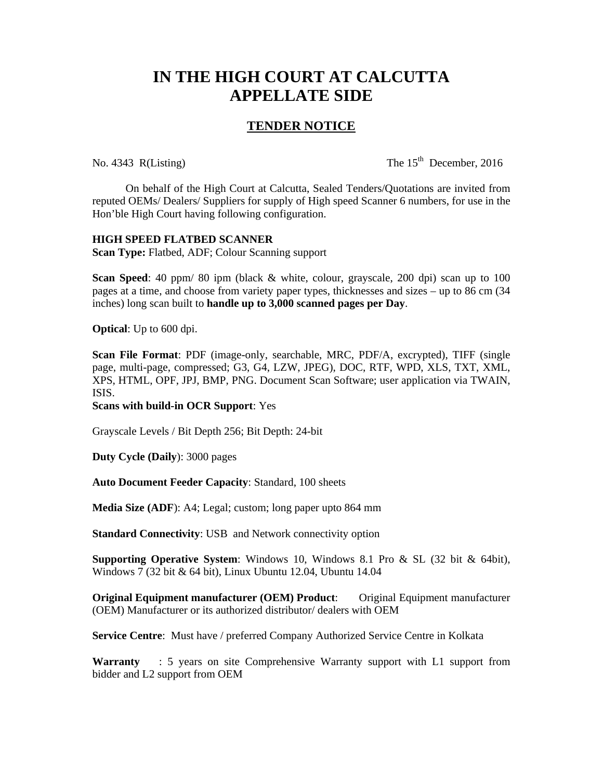## **IN THE HIGH COURT AT CALCUTTA APPELLATE SIDE**

## **TENDER NOTICE**

No. 4343 R(Listing) The  $15<sup>th</sup>$  December, 2016

 On behalf of the High Court at Calcutta, Sealed Tenders/Quotations are invited from reputed OEMs/ Dealers/ Suppliers for supply of High speed Scanner 6 numbers, for use in the Hon'ble High Court having following configuration.

## **HIGH SPEED FLATBED SCANNER**

**Scan Type:** Flatbed, ADF; Colour Scanning support

**Scan Speed**: 40 ppm/ 80 ipm (black & white, colour, grayscale, 200 dpi) scan up to 100 pages at a time, and choose from variety paper types, thicknesses and sizes – up to 86 cm (34 inches) long scan built to **handle up to 3,000 scanned pages per Day**.

**Optical**: Up to 600 dpi.

**Scan File Format**: PDF (image-only, searchable, MRC, PDF/A, excrypted), TIFF (single page, multi-page, compressed; G3, G4, LZW, JPEG), DOC, RTF, WPD, XLS, TXT, XML, XPS, HTML, OPF, JPJ, BMP, PNG. Document Scan Software; user application via TWAIN, ISIS.

**Scans with build-in OCR Support**: Yes

Grayscale Levels / Bit Depth 256; Bit Depth: 24-bit

**Duty Cycle (Daily**): 3000 pages

**Auto Document Feeder Capacity**: Standard, 100 sheets

**Media Size (ADF**): A4; Legal; custom; long paper upto 864 mm

**Standard Connectivity: USB and Network connectivity option** 

**Supporting Operative System**: Windows 10, Windows 8.1 Pro & SL (32 bit & 64bit), Windows 7 (32 bit & 64 bit), Linux Ubuntu 12.04, Ubuntu 14.04

**Original Equipment manufacturer (OEM) Product:** Original Equipment manufacturer (OEM) Manufacturer or its authorized distributor/ dealers with OEM

**Service Centre**: Must have / preferred Company Authorized Service Centre in Kolkata

**Warranty** : 5 years on site Comprehensive Warranty support with L1 support from bidder and L2 support from OEM